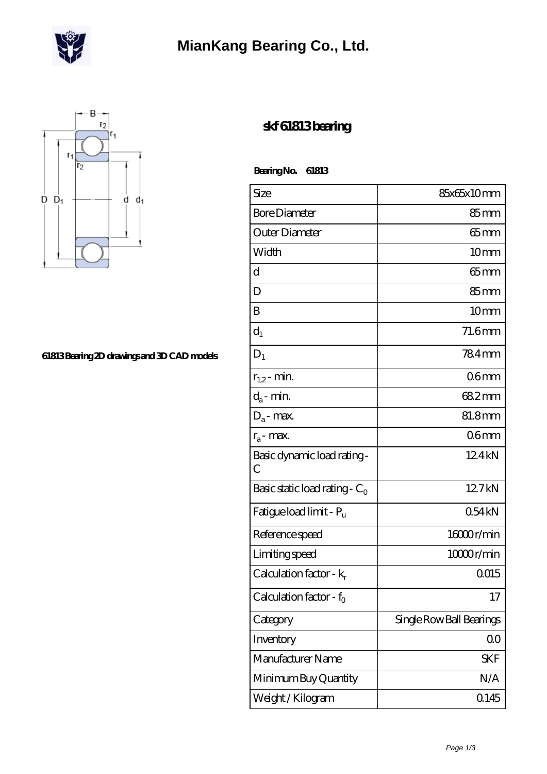

## **[MianKang Bearing Co., Ltd.](https://m.deadly30.com)**



## **[61813 Bearing 2D drawings and 3D CAD models](https://m.deadly30.com/pic-65225069.html)**

## **[skf 61813 bearing](https://m.deadly30.com/skf-61813-bearing/)**

 **Bearing No. 61813**

| Size                                         | 85x65x10mm               |
|----------------------------------------------|--------------------------|
| <b>Bore Diameter</b>                         | $85 \text{mm}$           |
| Outer Diameter                               | $65$ mm                  |
| Width                                        | 10 <sub>mm</sub>         |
| d                                            | $65$ mm                  |
| D                                            | $85 \text{mm}$           |
| B                                            | 10 <sub>mm</sub>         |
| $d_1$                                        | 71.6mm                   |
| $D_1$                                        | 784mm                    |
| $r_{1,2}$ - min.                             | 06 <sub>mm</sub>         |
| $d_a$ - min.                                 | 682mm                    |
| $D_a$ - max.                                 | 81.8mm                   |
| $r_a$ - max.                                 | 06 <sub>mm</sub>         |
| Basic dynamic load rating -<br>$\mathcal{C}$ | 124kN                    |
| Basic static load rating - $C_0$             | 12.7kN                   |
| Fatigue load limit - P <sub>u</sub>          | 054kN                    |
| Reference speed                              | 16000r/min               |
| Limiting speed                               | 10000r/min               |
| Calculation factor - $k_r$                   | 0015                     |
| Calculation factor - $f_0$                   | 17                       |
| Category                                     | Single Row Ball Bearings |
| Inventory                                    | $00\,$                   |
| Manufacturer Name                            | SKF                      |
| Minimum Buy Quantity                         | N/A                      |
| Weight / Kilogram                            | 0.145                    |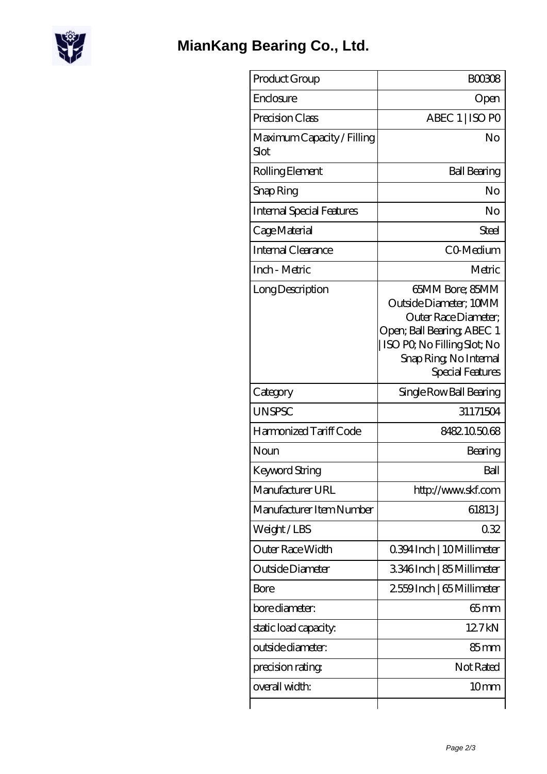

| Product Group                      | <b>BOO308</b>                                                                                                                                                                |
|------------------------------------|------------------------------------------------------------------------------------------------------------------------------------------------------------------------------|
| Enclosure                          | Open                                                                                                                                                                         |
| Precision Class                    | ABEC 1   ISO PO                                                                                                                                                              |
| Maximum Capacity / Filling<br>Slot | No                                                                                                                                                                           |
| Rolling Element                    | <b>Ball Bearing</b>                                                                                                                                                          |
| Snap Ring                          | No                                                                                                                                                                           |
| <b>Internal Special Features</b>   | No                                                                                                                                                                           |
| Cage Material                      | Steel                                                                                                                                                                        |
| <b>Internal Clearance</b>          | CO-Medium                                                                                                                                                                    |
| Inch - Metric                      | Metric                                                                                                                                                                       |
| Long Description                   | 65MM Bore; 85MM<br>Outside Diameter; 10MM<br>Outer Race Diameter;<br>Open; Ball Bearing; ABEC 1<br>ISO PO, No Filling Slot; No<br>Snap Ring, No Internal<br>Special Features |
| Category                           | Single Row Ball Bearing                                                                                                                                                      |
| <b>UNSPSC</b>                      | 31171504                                                                                                                                                                     |
| Harmonized Tariff Code             | 8482105068                                                                                                                                                                   |
| Noun                               | Bearing                                                                                                                                                                      |
| Keyword String                     | Ball                                                                                                                                                                         |
| Manufacturer URL                   | http://www.skf.com                                                                                                                                                           |
| Manufacturer Item Number           | 61813J                                                                                                                                                                       |
| Weight/LBS                         | 032                                                                                                                                                                          |
| <b>Outer Race Width</b>            | 0.394 Inch   10 Millimeter                                                                                                                                                   |
| Outside Diameter                   | 3346Inch   85 Millimeter                                                                                                                                                     |
| Bore                               | 2559Inch   65 Millimeter                                                                                                                                                     |
| bore diameter:                     | $65$ mm                                                                                                                                                                      |
| static load capacity.              | 127kN                                                                                                                                                                        |
| outside diameter:                  | $85 \text{mm}$                                                                                                                                                               |
| precision rating                   | Not Rated                                                                                                                                                                    |
| overall width:                     | 10 <sub>mm</sub>                                                                                                                                                             |
|                                    |                                                                                                                                                                              |